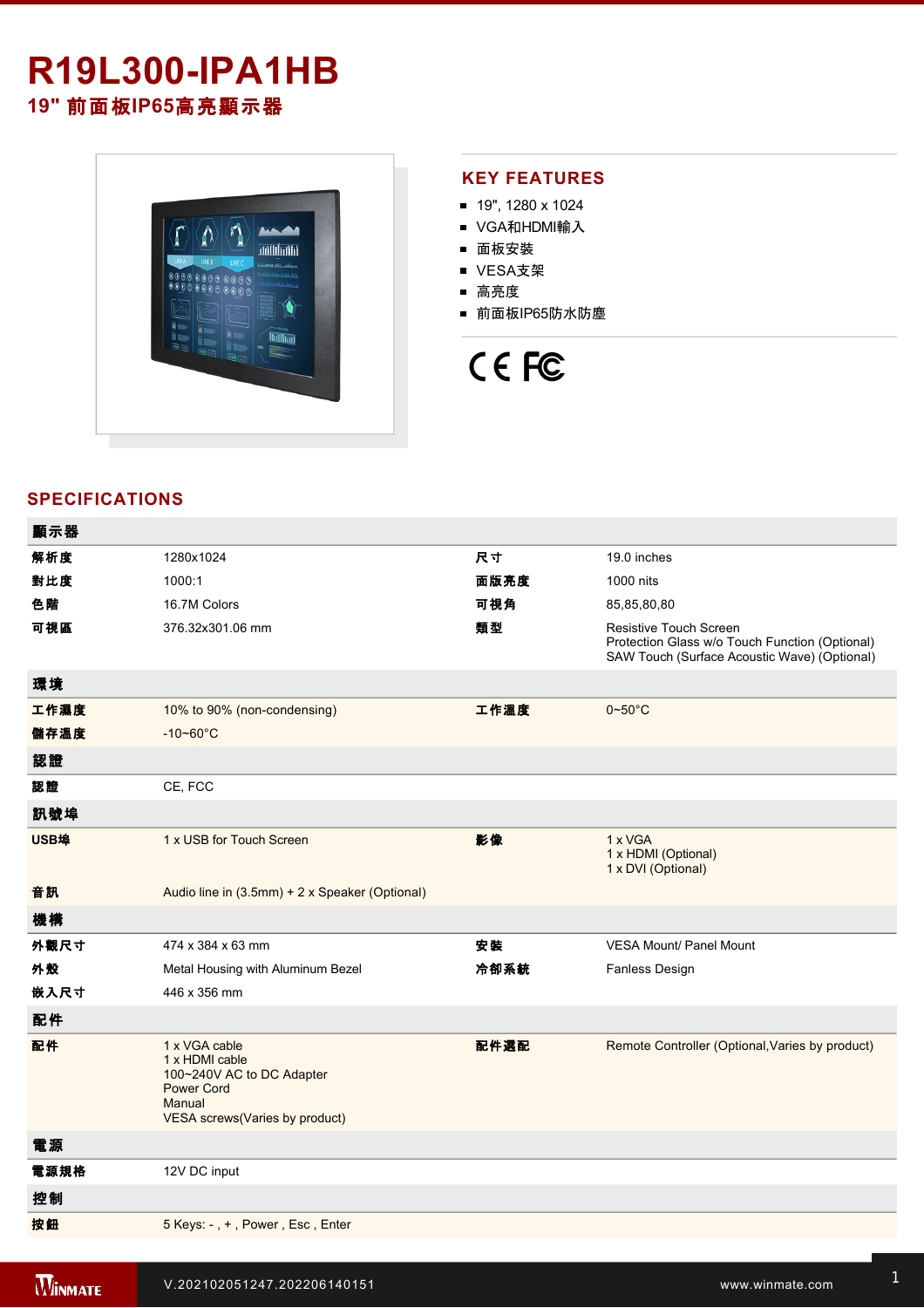## **R19L300-IPA1HB 19"** 前面板**IP65**高亮顯示器



#### **KEY FEATURES**

- 19", 1280 x 1024
- VGA和HDMI輸入
- 面板安裝
- VESA支架
- 高亮度
- 前面板IP65防水防塵

# CE FC

#### **SPECIFICATIONS**

| 顯示器  |                                                                                                                               |      |                                                                                                                          |
|------|-------------------------------------------------------------------------------------------------------------------------------|------|--------------------------------------------------------------------------------------------------------------------------|
| 解析度  | 1280x1024                                                                                                                     | 尺寸   | 19.0 inches                                                                                                              |
| 對比度  | 1000:1                                                                                                                        | 面版亮度 | 1000 nits                                                                                                                |
| 色階   | 16.7M Colors                                                                                                                  | 可視角  | 85,85,80,80                                                                                                              |
| 可視區  | 376.32x301.06 mm                                                                                                              | 類型   | Resistive Touch Screen<br>Protection Glass w/o Touch Function (Optional)<br>SAW Touch (Surface Acoustic Wave) (Optional) |
| 環境   |                                                                                                                               |      |                                                                                                                          |
| 工作濕度 | 10% to 90% (non-condensing)                                                                                                   | 工作溫度 | $0 - 50$ °C                                                                                                              |
| 儲存溫度 | $-10 - 60^{\circ}C$                                                                                                           |      |                                                                                                                          |
| 認證   |                                                                                                                               |      |                                                                                                                          |
| 認證   | CE, FCC                                                                                                                       |      |                                                                                                                          |
| 訊號埠  |                                                                                                                               |      |                                                                                                                          |
| USB埠 | 1 x USB for Touch Screen                                                                                                      | 影像   | 1 x VGA<br>1 x HDMI (Optional)<br>1 x DVI (Optional)                                                                     |
| 音訊   | Audio line in (3.5mm) + 2 x Speaker (Optional)                                                                                |      |                                                                                                                          |
| 機構   |                                                                                                                               |      |                                                                                                                          |
| 外觀尺寸 | 474 x 384 x 63 mm                                                                                                             | 安装   | <b>VESA Mount/ Panel Mount</b>                                                                                           |
| 外殼   | Metal Housing with Aluminum Bezel                                                                                             | 冷卻系統 | <b>Fanless Design</b>                                                                                                    |
| 嵌入尺寸 | 446 x 356 mm                                                                                                                  |      |                                                                                                                          |
| 配件   |                                                                                                                               |      |                                                                                                                          |
| 配件   | 1 x VGA cable<br>1 x HDMI cable<br>100~240V AC to DC Adapter<br><b>Power Cord</b><br>Manual<br>VESA screws(Varies by product) | 配件選配 | Remote Controller (Optional, Varies by product)                                                                          |
| 電源   |                                                                                                                               |      |                                                                                                                          |
| 電源規格 | 12V DC input                                                                                                                  |      |                                                                                                                          |
| 控制   |                                                                                                                               |      |                                                                                                                          |
| 按鈕   | 5 Keys: -, +, Power, Esc, Enter                                                                                               |      |                                                                                                                          |
|      |                                                                                                                               |      |                                                                                                                          |

Windows **Windows 2002 Windows 2002**